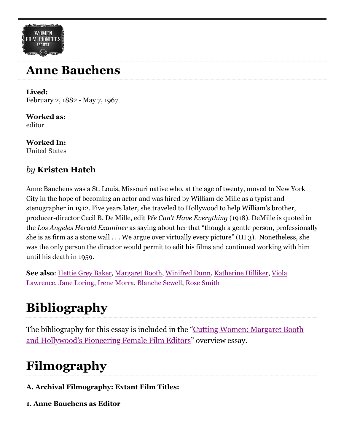### **Anne Bauchens**

**Lived:** February 2, 1882 - May 7, 1967

**Worked as:** [editor](https://wfpp-test.cul.columbia.edu/occupation/editor/)

**WOMEN** FILM PIONEERS

**Worked In:** [United States](https://wfpp-test.cul.columbia.edu/nationality/united-states/)

#### *by* **Kristen Hatch**

Anne Bauchens was a St. Louis, Missouri native who, at the age of twenty, moved to New York City in the hope of becoming an actor and was hired by William de Mille as a typist and stenographer in 1912. Five years later, she traveled to Hollywood to help William's brother, producer-director Cecil B. De Mille, edit *We Can't Have Everything* (1918). DeMille is quoted in the *Los Angeles Herald Examiner* as saying about her that "though a gentle person, professionally she is as firm as a stone wall . . . We argue over virtually every picture" (III 3). Nonetheless, she was the only person the director would permit to edit his films and continued working with him until his death in 1959.

**See also**[:](https://wfpp.cdrs.columbia.edu/pioneer/viola-lawrence-2/) [Hettie Grey Bake](https://wfpp.cdrs.columbia.edu/person/hettie-gray-baker/)[r,](https://wfpp.cdrs.columbia.edu/pioneer/viola-lawrence-2/) [Margaret Boot](https://wfpp.cdrs.columbia.edu/pioneer/margaret-booth-2/)[h,](https://wfpp.cdrs.columbia.edu/pioneer/viola-lawrence-2/) [Winifred Dun](https://wfpp.cdrs.columbia.edu/person/winifred-dunn/)[n, K](https://wfpp.cdrs.columbia.edu/pioneer/viola-lawrence-2/)[atherine Hilliker](https://wfpp.cdrs.columbia.edu/pioneer/ccp-katherine-hilliker/)[, Viola](https://wfpp.cdrs.columbia.edu/pioneer/viola-lawrence-2/) Lawrence, [Jane Loring,](https://wfpp.cdrs.columbia.edu/pioneer/jane-loring-2/) [Irene Morra](https://wfpp.cdrs.columbia.edu/pioneer/irene-morra-2/), [Blanche Sewell,](https://wfpp.cdrs.columbia.edu/pioneer/blanche-sewell-2/) [Rose Smith](https://wfpp.cdrs.columbia.edu/pioneer/rose-smith-2/)

# **Bibliography**

[The bibliography for this essay is included in the "Cutting Women: Margaret Booth](https://wfpp-test.cul.columbia.edu/essay/cutting-women/) and Hollywood's Pioneering Female Film Editors" overview essay.

## **Filmography**

- **A. Archival Filmography: Extant Film Titles:**
- **1. Anne Bauchens as Editor**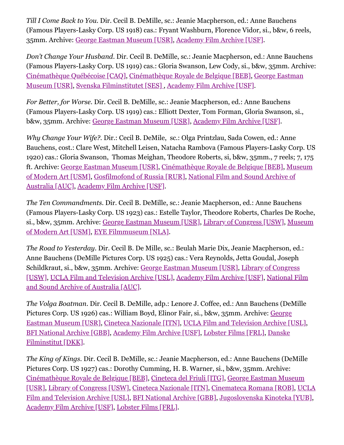*Till I Come Back to You.* Dir. Cecil B. DeMille, sc.: Jeanie Macpherson, ed.: Anne Bauchens (Famous Players-Lasky Corp. US 1918) cas.: Fryant Washburn, Florence Vidor, si., b&w, 6 reels, 35mm. Archive: [George Eastman Museum \[USR\],](https://www.eastman.org/moving-image) [Academy Film Archive \[USF\].](https://www.oscars.org/film-archive)

*Don't Change Your Husband*. Dir. Cecil B. DeMille, sc.: Jeanie Macpherson, ed.: Anne Bauchens (Famous Players-Lasky Corp. US 1919) cas.: Gloria Swanson, Lew Cody, si., b&w, 35mm. Archive: [Cinémathèque Québécoise \[CAQ\]](https://www.cinematheque.qc.ca/en)[,](https://www.eastman.org/moving-image) [Cinémathèque Royale de Belgique \[BEB](http://cinematek.be/)[\], George Eastman](https://www.eastman.org/moving-image) Museum [USR], [Svenska Filminstitutet \[SES\]](https://www.filminstitutet.se/) , [Academy Film Archive \[USF\]](https://www.oscars.org/film-archive).

*For Better, for Worse.* Dir. Cecil B. DeMille, sc.: Jeanie Macpherson, ed.: Anne Bauchens (Famous Players-Lasky Corp. US 1919) cas.: Elliott Dexter, Tom Forman, Gloria Swanson, si., b&w, 35mm. Archive: [George Eastman Museum \[USR\],](https://www.eastman.org/moving-image) [Academy Film Archive \[USF\].](https://www.oscars.org/film-archive)

*Why Change Your Wife?*. Dir.: Cecil B. DeMile, sc.: Olga Printzlau, Sada Cowen, ed.: Anne Bauchens, cost.: Clare West, Mitchell Leisen, Natacha Rambova (Famous Players-Lasky Corp. US 1920) cas.: Gloria Swanson, Thomas Meighan, Theodore Roberts, si, b&w, 35mm., 7 reels; 7, 175 [ft. Archive:](https://www.moma.org/research-and-learning/film-preservation/) [George Eastman Museum \[USR\]](https://www.eastman.org/moving-image)[, C](https://www.moma.org/research-and-learning/film-preservation/)[inémathèque Royale de Belgique \[BEB\]](http://cinematek.be/)[, Museum](https://www.moma.org/research-and-learning/film-preservation/) [of Modern Art \[USM\], G](https://www.nfsa.gov.au/)[osfilmofond of Russia \[RUR](http://gosfilmofond.ru/)[\], National Film and Sound Archive of](https://www.nfsa.gov.au/) Australia [AUC], [Academy Film Archive \[USF\].](https://www.oscars.org/film-archive)

*The Ten Commandments*. Dir. Cecil B. DeMille, sc.: Jeanie Macpherson, ed.: Anne Bauchens (Famous Players-Lasky Corp. US 1923) cas.: Estelle Taylor, Theodore Roberts, Charles De Roche, [si., b&w, 35mm. Archive: G](https://www.moma.org/research-and-learning/film-preservation/)[eorge Eastman Museum \[USR\]](https://www.eastman.org/moving-image)[,](https://www.moma.org/research-and-learning/film-preservation/) [Library of Congress \[USW](http://www.loc.gov/avconservation/)[\], Museum](https://www.moma.org/research-and-learning/film-preservation/) of Modern Art [USM], [EYE Filmmuseum \[NLA\]](https://www.eyefilm.nl/collectie/over-de-collectie).

*The Road to Yesterday*. Dir. Cecil B. De Mille, sc.: Beulah Marie Dix, Jeanie Macpherson, ed.: Anne Bauchens (DeMille Pictures Corp. US 1925) cas.: Vera Reynolds, Jetta Goudal, Joseph Schildkraut, si., b&w, 35mm. Archive: [George Eastman Museum \[USR\],](https://www.eastman.org/moving-image) Library of Congress [\[USW\], UCLA Film and Television Archive \[USL\], Academy Film Archive \[USF\], National F](http://www.loc.gov/avconservation/)[ilm](https://www.nfsa.gov.au/) and Sound Archive of Australia [AUC].

*The Volga Boatman*. Dir. Cecil B. DeMille, adp.: Lenore J. Coffee, ed.: Ann Bauchens (DeMille Pictures Corp. US 1926) cas.: William Boyd, Elinor Fair, si., b&w, 35mm. Archive: George [Eastman Museum \[USR\], Cineteca Nazionale \[ITN\], UCLA Film and Television Archive \[](https://www.eastman.org/moving-image)[USL\]](https://www.cinema.ucla.edu/), [BFI National Archive \[GBB](https://www.bfi.org.uk/archive-collections)[\],](https://www.dfi.dk/) [Academy Film Archive \[USF](https://www.oscars.org/film-archive)[\], L](https://www.dfi.dk/)[obster Films \[FRL\]](https://www.lobsterfilms.com/fr/)[, Danske](https://www.dfi.dk/) Filminstitut [DKK].

*The King of Kings*. Dir. Cecil B. DeMille, sc.: Jeanie Macpherson, ed.: Anne Bauchens (DeMille Pictures Corp. US 1927) cas.: Dorothy Cumming, H. B. Warner, si., b&w, 35mm. Archive: [Cinémathèque Royale de Belgique \[BEB\]](http://cinematek.be/)[,](https://www.eastman.org/moving-image) [Cineteca del Friuli \[ITG\]](http://www.cinetecadelfriuli.org/)[, George Eastman Museum](https://www.eastman.org/moving-image) [\[USR\],](https://www.cinema.ucla.edu/) [Library of Congress \[USW\]](http://www.loc.gov/avconservation/)[, C](https://www.cinema.ucla.edu/)[ineteca Nazionale \[ITN](http://www.fondazionecsc.it/context.jsp?ID_LINK=81&area=6)[\],](https://www.cinema.ucla.edu/) [Cinemateca Romana \[ROB](http://www.anf-cinemateca.ro/)[\], UCLA](https://www.cinema.ucla.edu/) Film and Television Archive [USL], [BFI National Archive \[GBB\],](https://www.bfi.org.uk/archive-collections) [Jugoslovenska Kinoteka \[YUB\]](http://www.kinoteka.org.rs/), [Academy Film Archive \[USF\]](https://www.oscars.org/film-archive), [Lobster Films \[FRL\].](https://www.lobsterfilms.com/fr/)